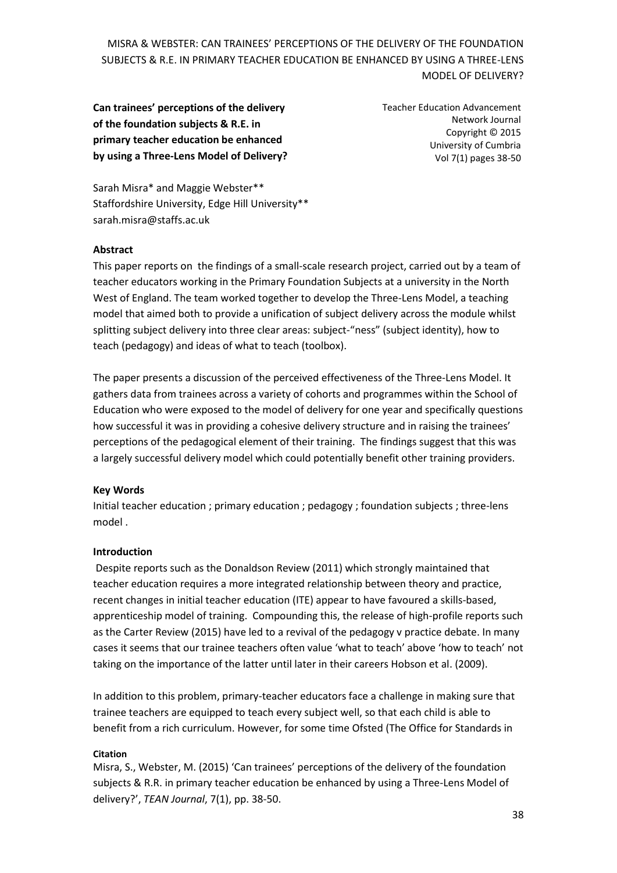**Can trainees' perceptions of the delivery of the foundation subjects & R.E. in primary teacher education be enhanced by using a Three-Lens Model of Delivery?** Teacher Education Advancement Network Journal Copyright © 2015 University of Cumbria Vol 7(1) pages 38-50

Sarah Misra\* and Maggie Webster\*\* Staffordshire University, Edge Hill University\*\* sarah.misra@staffs.ac.uk

### **Abstract**

This paper reports on the findings of a small-scale research project, carried out by a team of teacher educators working in the Primary Foundation Subjects at a university in the North West of England. The team worked together to develop the Three-Lens Model, a teaching model that aimed both to provide a unification of subject delivery across the module whilst splitting subject delivery into three clear areas: subject-"ness" (subject identity), how to teach (pedagogy) and ideas of what to teach (toolbox).

The paper presents a discussion of the perceived effectiveness of the Three-Lens Model. It gathers data from trainees across a variety of cohorts and programmes within the School of Education who were exposed to the model of delivery for one year and specifically questions how successful it was in providing a cohesive delivery structure and in raising the trainees' perceptions of the pedagogical element of their training. The findings suggest that this was a largely successful delivery model which could potentially benefit other training providers.

### **Key Words**

Initial teacher education ; primary education ; pedagogy ; foundation subjects ; three-lens model .

### **Introduction**

Despite reports such as the Donaldson Review (2011) which strongly maintained that teacher education requires a more integrated relationship between theory and practice, recent changes in initial teacher education (ITE) appear to have favoured a skills-based, apprenticeship model of training. Compounding this, the release of high-profile reports such as the Carter Review (2015) have led to a revival of the pedagogy v practice debate. In many cases it seems that our trainee teachers often value 'what to teach' above 'how to teach' not taking on the importance of the latter until later in their careers Hobson et al. (2009).

In addition to this problem, primary-teacher educators face a challenge in making sure that trainee teachers are equipped to teach every subject well, so that each child is able to benefit from a rich curriculum. However, for some time Ofsted (The Office for Standards in

### **Citation**

Misra, S., Webster, M. (2015) 'Can trainees' perceptions of the delivery of the foundation subjects & R.R. in primary teacher education be enhanced by using a Three-Lens Model of delivery?', *TEAN Journal*, 7(1), pp. 38-50.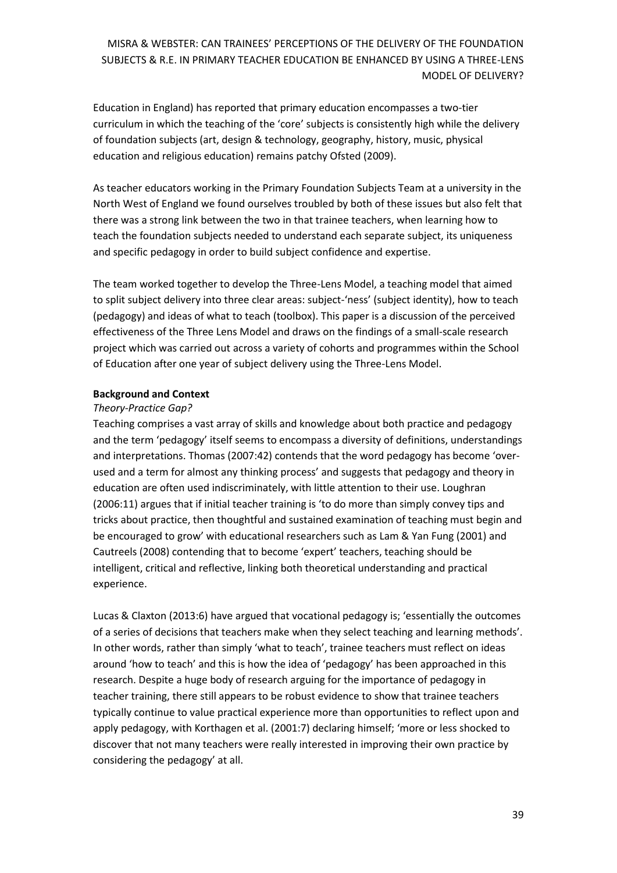Education in England) has reported that primary education encompasses a two-tier curriculum in which the teaching of the 'core' subjects is consistently high while the delivery of foundation subjects (art, design & technology, geography, history, music, physical education and religious education) remains patchy Ofsted (2009).

As teacher educators working in the Primary Foundation Subjects Team at a university in the North West of England we found ourselves troubled by both of these issues but also felt that there was a strong link between the two in that trainee teachers, when learning how to teach the foundation subjects needed to understand each separate subject, its uniqueness and specific pedagogy in order to build subject confidence and expertise.

The team worked together to develop the Three-Lens Model, a teaching model that aimed to split subject delivery into three clear areas: subject-'ness' (subject identity), how to teach (pedagogy) and ideas of what to teach (toolbox). This paper is a discussion of the perceived effectiveness of the Three Lens Model and draws on the findings of a small-scale research project which was carried out across a variety of cohorts and programmes within the School of Education after one year of subject delivery using the Three-Lens Model.

### **Background and Context**

### *Theory-Practice Gap?*

Teaching comprises a vast array of skills and knowledge about both practice and pedagogy and the term 'pedagogy' itself seems to encompass a diversity of definitions, understandings and interpretations. Thomas (2007:42) contends that the word pedagogy has become 'overused and a term for almost any thinking process' and suggests that pedagogy and theory in education are often used indiscriminately, with little attention to their use. Loughran (2006:11) argues that if initial teacher training is 'to do more than simply convey tips and tricks about practice, then thoughtful and sustained examination of teaching must begin and be encouraged to grow' with educational researchers such as Lam & Yan Fung (2001) and Cautreels (2008) contending that to become 'expert' teachers, teaching should be intelligent, critical and reflective, linking both theoretical understanding and practical experience.

Lucas & Claxton (2013:6) have argued that vocational pedagogy is; 'essentially the outcomes of a series of decisions that teachers make when they select teaching and learning methods'. In other words, rather than simply 'what to teach', trainee teachers must reflect on ideas around 'how to teach' and this is how the idea of 'pedagogy' has been approached in this research. Despite a huge body of research arguing for the importance of pedagogy in teacher training, there still appears to be robust evidence to show that trainee teachers typically continue to value practical experience more than opportunities to reflect upon and apply pedagogy, with Korthagen et al. (2001:7) declaring himself; 'more or less shocked to discover that not many teachers were really interested in improving their own practice by considering the pedagogy' at all.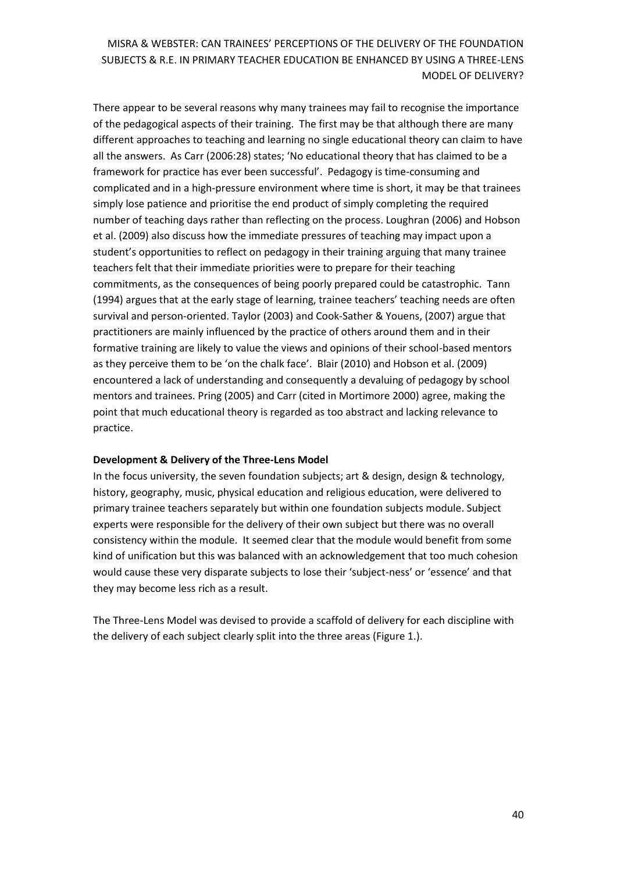There appear to be several reasons why many trainees may fail to recognise the importance of the pedagogical aspects of their training. The first may be that although there are many different approaches to teaching and learning no single educational theory can claim to have all the answers. As Carr (2006:28) states; 'No educational theory that has claimed to be a framework for practice has ever been successful'. Pedagogy is time-consuming and complicated and in a high-pressure environment where time is short, it may be that trainees simply lose patience and prioritise the end product of simply completing the required number of teaching days rather than reflecting on the process. Loughran (2006) and Hobson et al. (2009) also discuss how the immediate pressures of teaching may impact upon a student's opportunities to reflect on pedagogy in their training arguing that many trainee teachers felt that their immediate priorities were to prepare for their teaching commitments, as the consequences of being poorly prepared could be catastrophic. Tann (1994) argues that at the early stage of learning, trainee teachers' teaching needs are often survival and person-oriented. Taylor (2003) and Cook-Sather & Youens, (2007) argue that practitioners are mainly influenced by the practice of others around them and in their formative training are likely to value the views and opinions of their school-based mentors as they perceive them to be 'on the chalk face'. Blair (2010) and Hobson et al. (2009) encountered a lack of understanding and consequently a devaluing of pedagogy by school mentors and trainees. Pring (2005) and Carr (cited in Mortimore 2000) agree, making the point that much educational theory is regarded as too abstract and lacking relevance to practice.

### **Development & Delivery of the Three-Lens Model**

In the focus university, the seven foundation subjects; art & design, design & technology, history, geography, music, physical education and religious education, were delivered to primary trainee teachers separately but within one foundation subjects module. Subject experts were responsible for the delivery of their own subject but there was no overall consistency within the module. It seemed clear that the module would benefit from some kind of unification but this was balanced with an acknowledgement that too much cohesion would cause these very disparate subjects to lose their 'subject-ness' or 'essence' and that they may become less rich as a result.

The Three-Lens Model was devised to provide a scaffold of delivery for each discipline with the delivery of each subject clearly split into the three areas (Figure 1.).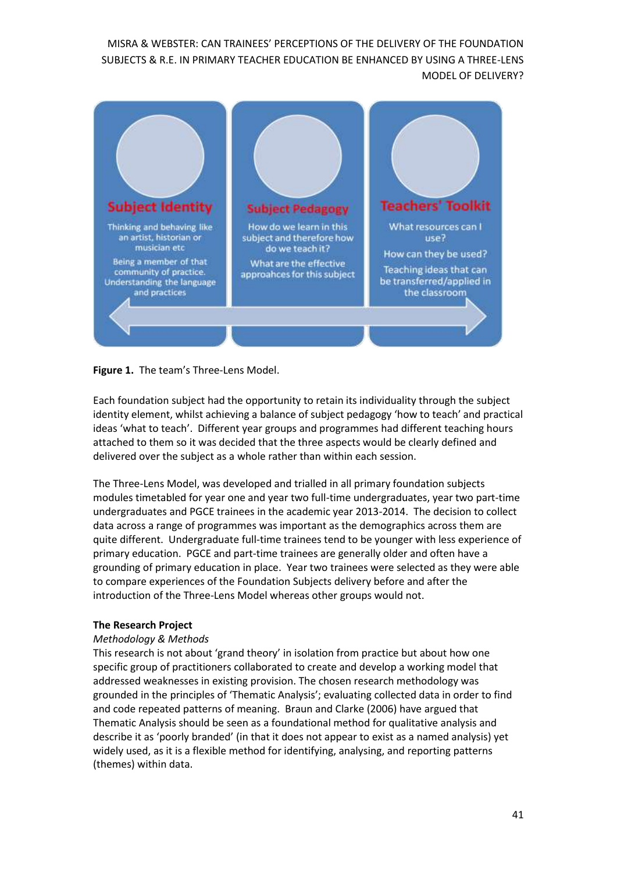

**Figure 1.** The team's Three-Lens Model.

Each foundation subject had the opportunity to retain its individuality through the subject identity element, whilst achieving a balance of subject pedagogy 'how to teach' and practical ideas 'what to teach'. Different year groups and programmes had different teaching hours attached to them so it was decided that the three aspects would be clearly defined and delivered over the subject as a whole rather than within each session.

The Three-Lens Model, was developed and trialled in all primary foundation subjects modules timetabled for year one and year two full-time undergraduates, year two part-time undergraduates and PGCE trainees in the academic year 2013-2014. The decision to collect data across a range of programmes was important as the demographics across them are quite different. Undergraduate full-time trainees tend to be younger with less experience of primary education. PGCE and part-time trainees are generally older and often have a grounding of primary education in place. Year two trainees were selected as they were able to compare experiences of the Foundation Subjects delivery before and after the introduction of the Three-Lens Model whereas other groups would not.

### **The Research Project**

### *Methodology & Methods*

This research is not about 'grand theory' in isolation from practice but about how one specific group of practitioners collaborated to create and develop a working model that addressed weaknesses in existing provision. The chosen research methodology was grounded in the principles of 'Thematic Analysis'; evaluating collected data in order to find and code repeated patterns of meaning. Braun and Clarke (2006) have argued that Thematic Analysis should be seen as a foundational method for qualitative analysis and describe it as 'poorly branded' (in that it does not appear to exist as a named analysis) yet widely used, as it is a flexible method for identifying, analysing, and reporting patterns (themes) within data.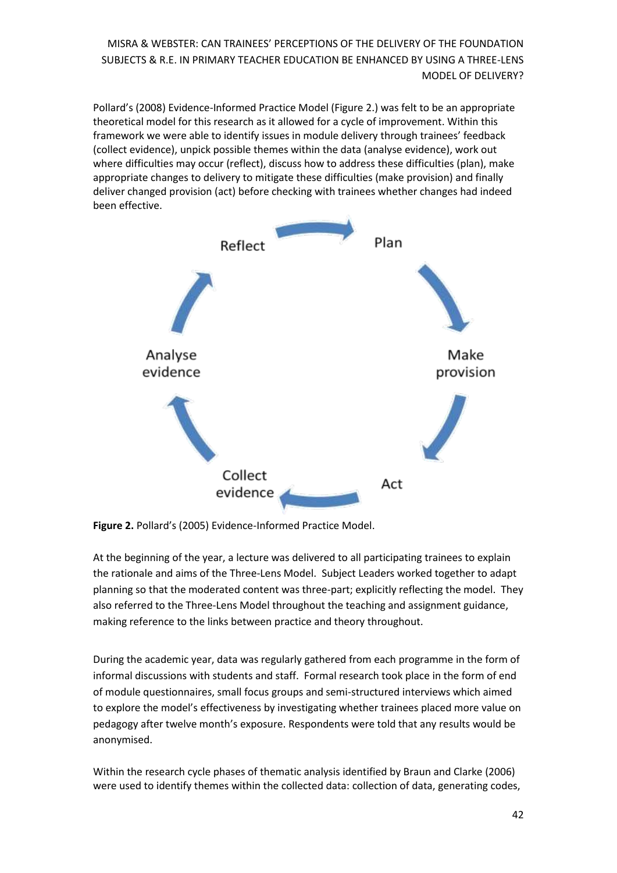Pollard's (2008) Evidence-Informed Practice Model (Figure 2.) was felt to be an appropriate theoretical model for this research as it allowed for a cycle of improvement. Within this framework we were able to identify issues in module delivery through trainees' feedback (collect evidence), unpick possible themes within the data (analyse evidence), work out where difficulties may occur (reflect), discuss how to address these difficulties (plan), make appropriate changes to delivery to mitigate these difficulties (make provision) and finally deliver changed provision (act) before checking with trainees whether changes had indeed been effective.



**Figure 2.** Pollard's (2005) Evidence-Informed Practice Model.

At the beginning of the year, a lecture was delivered to all participating trainees to explain the rationale and aims of the Three-Lens Model. Subject Leaders worked together to adapt planning so that the moderated content was three-part; explicitly reflecting the model. They also referred to the Three-Lens Model throughout the teaching and assignment guidance, making reference to the links between practice and theory throughout.

During the academic year, data was regularly gathered from each programme in the form of informal discussions with students and staff. Formal research took place in the form of end of module questionnaires, small focus groups and semi-structured interviews which aimed to explore the model's effectiveness by investigating whether trainees placed more value on pedagogy after twelve month's exposure. Respondents were told that any results would be anonymised.

Within the research cycle phases of thematic analysis identified by Braun and Clarke (2006) were used to identify themes within the collected data: collection of data, generating codes,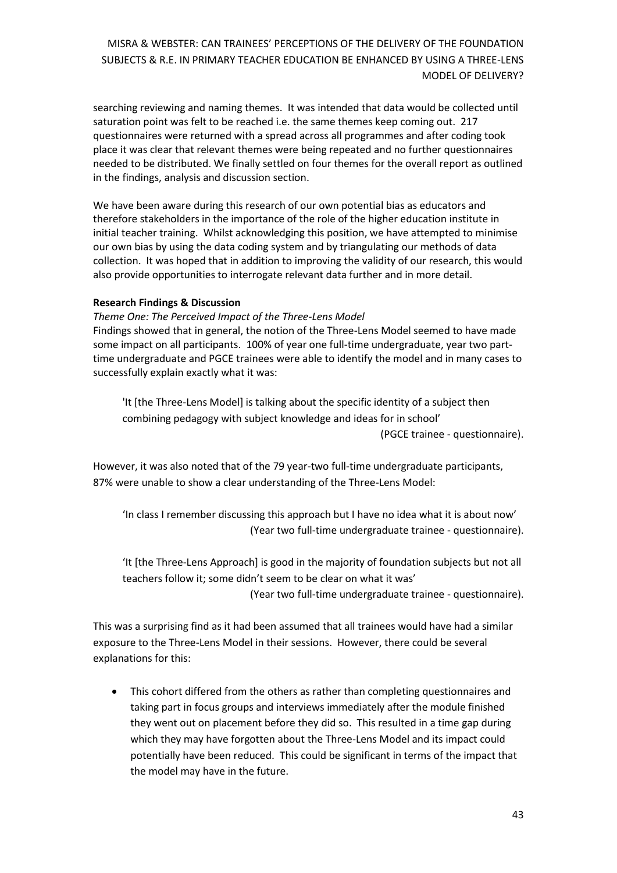searching reviewing and naming themes. It was intended that data would be collected until saturation point was felt to be reached i.e. the same themes keep coming out. 217 questionnaires were returned with a spread across all programmes and after coding took place it was clear that relevant themes were being repeated and no further questionnaires needed to be distributed. We finally settled on four themes for the overall report as outlined in the findings, analysis and discussion section.

We have been aware during this research of our own potential bias as educators and therefore stakeholders in the importance of the role of the higher education institute in initial teacher training. Whilst acknowledging this position, we have attempted to minimise our own bias by using the data coding system and by triangulating our methods of data collection. It was hoped that in addition to improving the validity of our research, this would also provide opportunities to interrogate relevant data further and in more detail.

### **Research Findings & Discussion**

*Theme One: The Perceived Impact of the Three-Lens Model* Findings showed that in general, the notion of the Three-Lens Model seemed to have made some impact on all participants. 100% of year one full-time undergraduate, year two part-

time undergraduate and PGCE trainees were able to identify the model and in many cases to successfully explain exactly what it was:

'It [the Three-Lens Model] is talking about the specific identity of a subject then combining pedagogy with subject knowledge and ideas for in school' (PGCE trainee - questionnaire).

However, it was also noted that of the 79 year-two full-time undergraduate participants, 87% were unable to show a clear understanding of the Three-Lens Model:

'In class I remember discussing this approach but I have no idea what it is about now' (Year two full-time undergraduate trainee - questionnaire).

'It [the Three-Lens Approach] is good in the majority of foundation subjects but not all teachers follow it; some didn't seem to be clear on what it was'

(Year two full-time undergraduate trainee - questionnaire).

This was a surprising find as it had been assumed that all trainees would have had a similar exposure to the Three-Lens Model in their sessions. However, there could be several explanations for this:

 This cohort differed from the others as rather than completing questionnaires and taking part in focus groups and interviews immediately after the module finished they went out on placement before they did so. This resulted in a time gap during which they may have forgotten about the Three-Lens Model and its impact could potentially have been reduced. This could be significant in terms of the impact that the model may have in the future.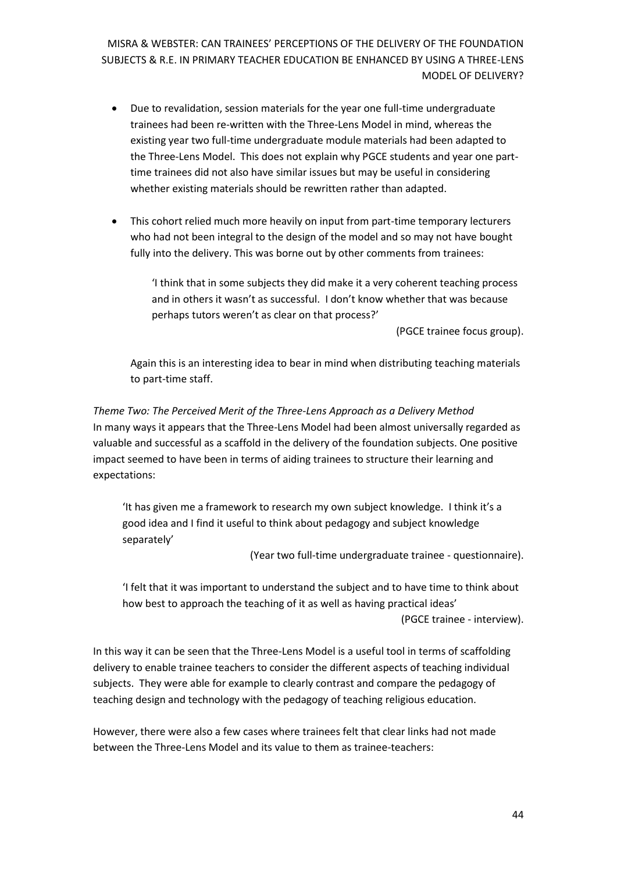- Due to revalidation, session materials for the year one full-time undergraduate trainees had been re-written with the Three-Lens Model in mind, whereas the existing year two full-time undergraduate module materials had been adapted to the Three-Lens Model. This does not explain why PGCE students and year one parttime trainees did not also have similar issues but may be useful in considering whether existing materials should be rewritten rather than adapted.
- This cohort relied much more heavily on input from part-time temporary lecturers who had not been integral to the design of the model and so may not have bought fully into the delivery. This was borne out by other comments from trainees:

'I think that in some subjects they did make it a very coherent teaching process and in others it wasn't as successful. I don't know whether that was because perhaps tutors weren't as clear on that process?'

(PGCE trainee focus group).

Again this is an interesting idea to bear in mind when distributing teaching materials to part-time staff.

*Theme Two: The Perceived Merit of the Three-Lens Approach as a Delivery Method* In many ways it appears that the Three-Lens Model had been almost universally regarded as valuable and successful as a scaffold in the delivery of the foundation subjects. One positive impact seemed to have been in terms of aiding trainees to structure their learning and expectations:

'It has given me a framework to research my own subject knowledge. I think it's a good idea and I find it useful to think about pedagogy and subject knowledge separately'

(Year two full-time undergraduate trainee - questionnaire).

'I felt that it was important to understand the subject and to have time to think about how best to approach the teaching of it as well as having practical ideas' (PGCE trainee - interview).

In this way it can be seen that the Three-Lens Model is a useful tool in terms of scaffolding delivery to enable trainee teachers to consider the different aspects of teaching individual subjects. They were able for example to clearly contrast and compare the pedagogy of teaching design and technology with the pedagogy of teaching religious education.

However, there were also a few cases where trainees felt that clear links had not made between the Three-Lens Model and its value to them as trainee-teachers: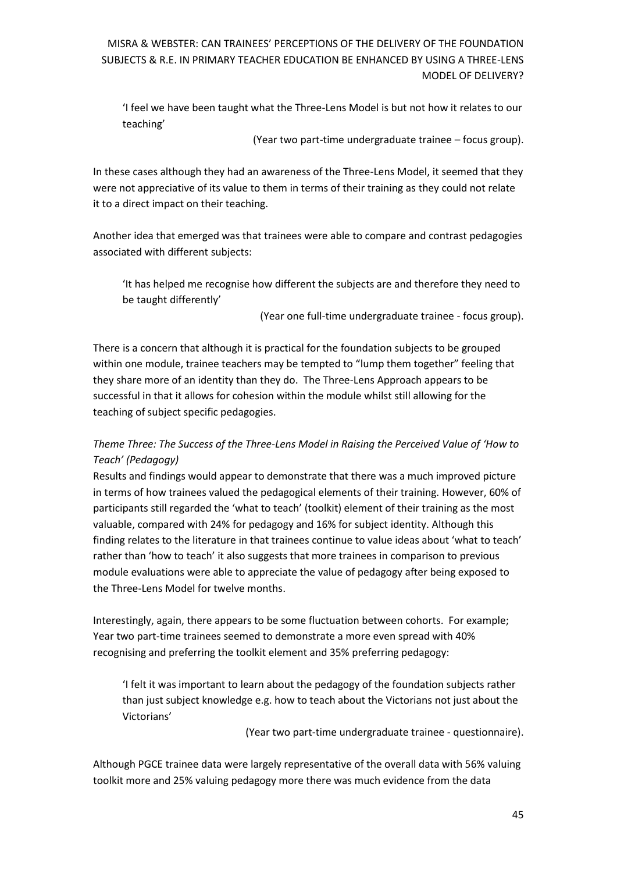'I feel we have been taught what the Three-Lens Model is but not how it relates to our teaching'

(Year two part-time undergraduate trainee – focus group).

In these cases although they had an awareness of the Three-Lens Model, it seemed that they were not appreciative of its value to them in terms of their training as they could not relate it to a direct impact on their teaching.

Another idea that emerged was that trainees were able to compare and contrast pedagogies associated with different subjects:

'It has helped me recognise how different the subjects are and therefore they need to be taught differently'

(Year one full-time undergraduate trainee - focus group).

There is a concern that although it is practical for the foundation subjects to be grouped within one module, trainee teachers may be tempted to "lump them together" feeling that they share more of an identity than they do. The Three-Lens Approach appears to be successful in that it allows for cohesion within the module whilst still allowing for the teaching of subject specific pedagogies.

# *Theme Three: The Success of the Three-Lens Model in Raising the Perceived Value of 'How to Teach' (Pedagogy)*

Results and findings would appear to demonstrate that there was a much improved picture in terms of how trainees valued the pedagogical elements of their training. However, 60% of participants still regarded the 'what to teach' (toolkit) element of their training as the most valuable, compared with 24% for pedagogy and 16% for subject identity. Although this finding relates to the literature in that trainees continue to value ideas about 'what to teach' rather than 'how to teach' it also suggests that more trainees in comparison to previous module evaluations were able to appreciate the value of pedagogy after being exposed to the Three-Lens Model for twelve months.

Interestingly, again, there appears to be some fluctuation between cohorts. For example; Year two part-time trainees seemed to demonstrate a more even spread with 40% recognising and preferring the toolkit element and 35% preferring pedagogy:

'I felt it was important to learn about the pedagogy of the foundation subjects rather than just subject knowledge e.g. how to teach about the Victorians not just about the Victorians'

(Year two part-time undergraduate trainee - questionnaire).

Although PGCE trainee data were largely representative of the overall data with 56% valuing toolkit more and 25% valuing pedagogy more there was much evidence from the data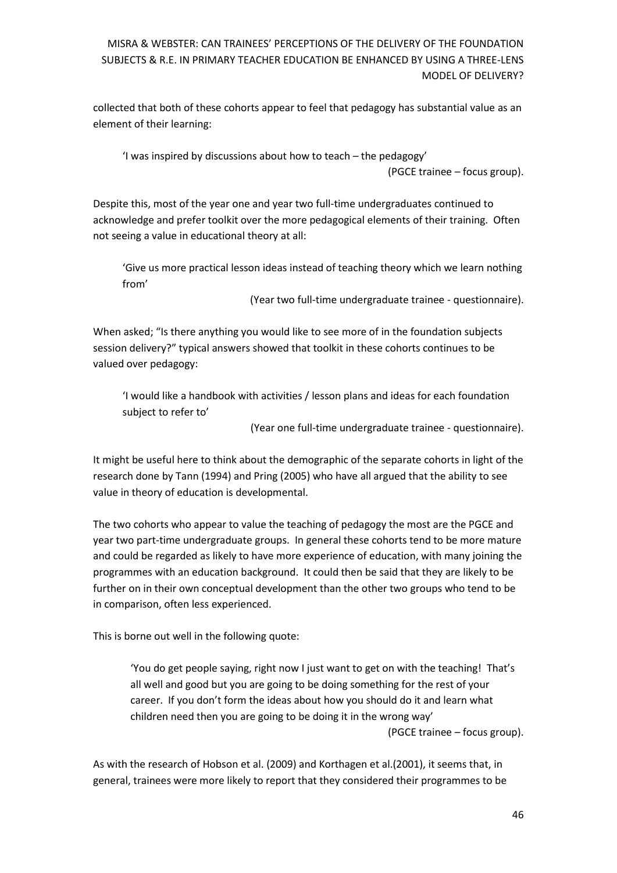collected that both of these cohorts appear to feel that pedagogy has substantial value as an element of their learning:

'I was inspired by discussions about how to teach – the pedagogy' (PGCE trainee – focus group).

Despite this, most of the year one and year two full-time undergraduates continued to acknowledge and prefer toolkit over the more pedagogical elements of their training. Often not seeing a value in educational theory at all:

'Give us more practical lesson ideas instead of teaching theory which we learn nothing from'

(Year two full-time undergraduate trainee - questionnaire).

When asked; "Is there anything you would like to see more of in the foundation subjects session delivery?" typical answers showed that toolkit in these cohorts continues to be valued over pedagogy:

'I would like a handbook with activities / lesson plans and ideas for each foundation subject to refer to'

(Year one full-time undergraduate trainee - questionnaire).

It might be useful here to think about the demographic of the separate cohorts in light of the research done by Tann (1994) and Pring (2005) who have all argued that the ability to see value in theory of education is developmental.

The two cohorts who appear to value the teaching of pedagogy the most are the PGCE and year two part-time undergraduate groups. In general these cohorts tend to be more mature and could be regarded as likely to have more experience of education, with many joining the programmes with an education background. It could then be said that they are likely to be further on in their own conceptual development than the other two groups who tend to be in comparison, often less experienced.

This is borne out well in the following quote:

'You do get people saying, right now I just want to get on with the teaching! That's all well and good but you are going to be doing something for the rest of your career. If you don't form the ideas about how you should do it and learn what children need then you are going to be doing it in the wrong way'

(PGCE trainee – focus group).

As with the research of Hobson et al. (2009) and Korthagen et al.(2001), it seems that, in general, trainees were more likely to report that they considered their programmes to be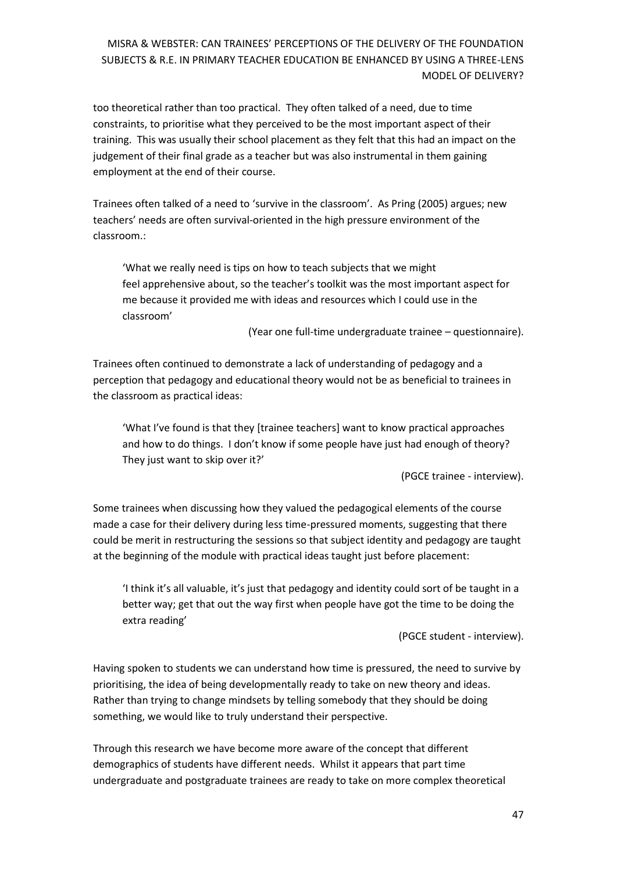too theoretical rather than too practical. They often talked of a need, due to time constraints, to prioritise what they perceived to be the most important aspect of their training. This was usually their school placement as they felt that this had an impact on the judgement of their final grade as a teacher but was also instrumental in them gaining employment at the end of their course.

Trainees often talked of a need to 'survive in the classroom'. As Pring (2005) argues; new teachers' needs are often survival-oriented in the high pressure environment of the classroom.:

'What we really need is tips on how to teach subjects that we might feel apprehensive about, so the teacher's toolkit was the most important aspect for me because it provided me with ideas and resources which I could use in the classroom'

(Year one full-time undergraduate trainee – questionnaire).

Trainees often continued to demonstrate a lack of understanding of pedagogy and a perception that pedagogy and educational theory would not be as beneficial to trainees in the classroom as practical ideas:

'What I've found is that they [trainee teachers] want to know practical approaches and how to do things. I don't know if some people have just had enough of theory? They just want to skip over it?'

(PGCE trainee - interview).

Some trainees when discussing how they valued the pedagogical elements of the course made a case for their delivery during less time-pressured moments, suggesting that there could be merit in restructuring the sessions so that subject identity and pedagogy are taught at the beginning of the module with practical ideas taught just before placement:

'I think it's all valuable, it's just that pedagogy and identity could sort of be taught in a better way; get that out the way first when people have got the time to be doing the extra reading'

(PGCE student - interview).

Having spoken to students we can understand how time is pressured, the need to survive by prioritising, the idea of being developmentally ready to take on new theory and ideas. Rather than trying to change mindsets by telling somebody that they should be doing something, we would like to truly understand their perspective.

Through this research we have become more aware of the concept that different demographics of students have different needs. Whilst it appears that part time undergraduate and postgraduate trainees are ready to take on more complex theoretical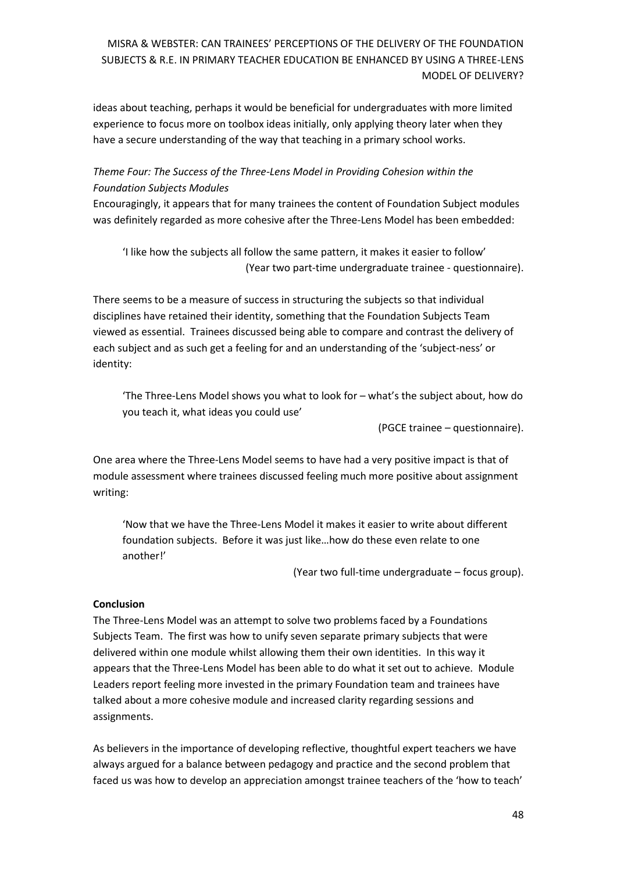ideas about teaching, perhaps it would be beneficial for undergraduates with more limited experience to focus more on toolbox ideas initially, only applying theory later when they have a secure understanding of the way that teaching in a primary school works.

## *Theme Four: The Success of the Three-Lens Model in Providing Cohesion within the Foundation Subjects Modules*

Encouragingly, it appears that for many trainees the content of Foundation Subject modules was definitely regarded as more cohesive after the Three-Lens Model has been embedded:

'I like how the subjects all follow the same pattern, it makes it easier to follow' (Year two part-time undergraduate trainee - questionnaire).

There seems to be a measure of success in structuring the subjects so that individual disciplines have retained their identity, something that the Foundation Subjects Team viewed as essential. Trainees discussed being able to compare and contrast the delivery of each subject and as such get a feeling for and an understanding of the 'subject-ness' or identity:

'The Three-Lens Model shows you what to look for – what's the subject about, how do you teach it, what ideas you could use'

(PGCE trainee – questionnaire).

One area where the Three-Lens Model seems to have had a very positive impact is that of module assessment where trainees discussed feeling much more positive about assignment writing:

'Now that we have the Three-Lens Model it makes it easier to write about different foundation subjects. Before it was just like…how do these even relate to one another!'

(Year two full-time undergraduate – focus group).

### **Conclusion**

The Three-Lens Model was an attempt to solve two problems faced by a Foundations Subjects Team. The first was how to unify seven separate primary subjects that were delivered within one module whilst allowing them their own identities. In this way it appears that the Three-Lens Model has been able to do what it set out to achieve. Module Leaders report feeling more invested in the primary Foundation team and trainees have talked about a more cohesive module and increased clarity regarding sessions and assignments.

As believers in the importance of developing reflective, thoughtful expert teachers we have always argued for a balance between pedagogy and practice and the second problem that faced us was how to develop an appreciation amongst trainee teachers of the 'how to teach'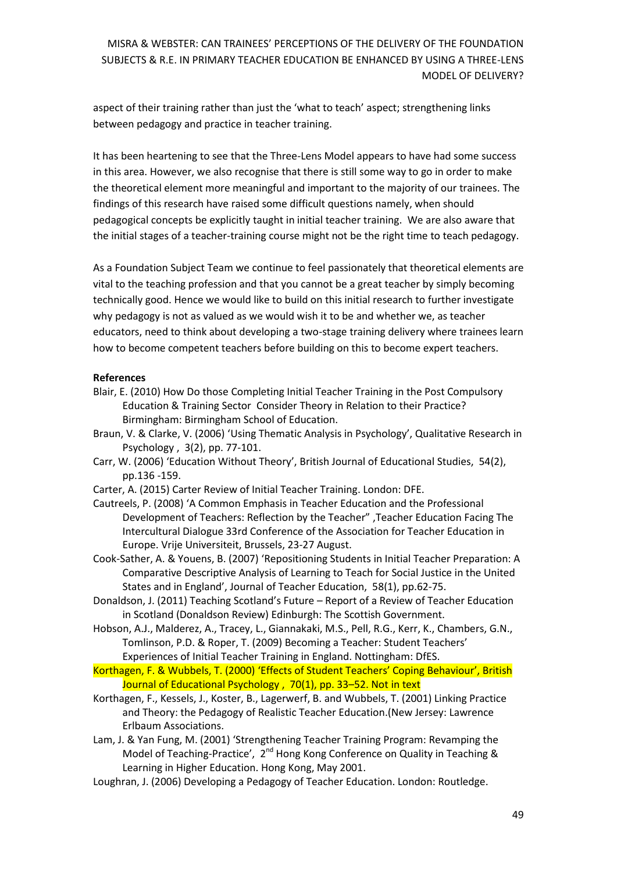aspect of their training rather than just the 'what to teach' aspect; strengthening links between pedagogy and practice in teacher training.

It has been heartening to see that the Three-Lens Model appears to have had some success in this area. However, we also recognise that there is still some way to go in order to make the theoretical element more meaningful and important to the majority of our trainees. The findings of this research have raised some difficult questions namely, when should pedagogical concepts be explicitly taught in initial teacher training. We are also aware that the initial stages of a teacher-training course might not be the right time to teach pedagogy.

As a Foundation Subject Team we continue to feel passionately that theoretical elements are vital to the teaching profession and that you cannot be a great teacher by simply becoming technically good. Hence we would like to build on this initial research to further investigate why pedagogy is not as valued as we would wish it to be and whether we, as teacher educators, need to think about developing a two-stage training delivery where trainees learn how to become competent teachers before building on this to become expert teachers.

### **References**

- Blair, E. (2010) How Do those Completing Initial Teacher Training in the Post Compulsory Education & Training Sector Consider Theory in Relation to their Practice? Birmingham: Birmingham School of Education.
- Braun, V. & Clarke, V. (2006) 'Using Thematic Analysis in Psychology', Qualitative Research in Psychology , 3(2), pp. 77-101.
- Carr, W. (2006) 'Education Without Theory', British Journal of Educational Studies, 54(2), pp.136 -159.
- Carter, A. (2015) Carter Review of Initial Teacher Training. London: DFE.
- Cautreels, P. (2008) 'A Common Emphasis in Teacher Education and the Professional Development of Teachers: Reflection by the Teacher" ,Teacher Education Facing The Intercultural Dialogue 33rd Conference of the Association for Teacher Education in Europe. Vrije Universiteit, Brussels, 23-27 August.
- Cook-Sather, A. & Youens, B. (2007) 'Repositioning Students in Initial Teacher Preparation: A Comparative Descriptive Analysis of Learning to Teach for Social Justice in the United States and in England', Journal of Teacher Education, 58(1), pp.62-75.
- Donaldson, J. (2011) Teaching Scotland's Future Report of a Review of Teacher Education in Scotland (Donaldson Review) Edinburgh: The Scottish Government.
- Hobson, A.J., Malderez, A., Tracey, L., Giannakaki, M.S., Pell, R.G., Kerr, K., Chambers, G.N., Tomlinson, P.D. & Roper, T. (2009) Becoming a Teacher: Student Teachers' Experiences of Initial Teacher Training in England. Nottingham: DfES.

Korthagen, F. & Wubbels, T. (2000) 'Effects of Student Teachers' Coping Behaviour', British Journal of Educational Psychology, 70(1), pp. 33-52. Not in text

- Korthagen, F., Kessels, J., Koster, B., Lagerwerf, B. and Wubbels, T. (2001) Linking Practice and Theory: the Pedagogy of Realistic Teacher Education.(New Jersey: Lawrence Erlbaum Associations.
- Lam, J. & Yan Fung, M. (2001) 'Strengthening Teacher Training Program: Revamping the Model of Teaching-Practice', 2<sup>nd</sup> Hong Kong Conference on Quality in Teaching & Learning in Higher Education. Hong Kong, May 2001.
- Loughran, J. (2006) Developing a Pedagogy of Teacher Education. London: Routledge.